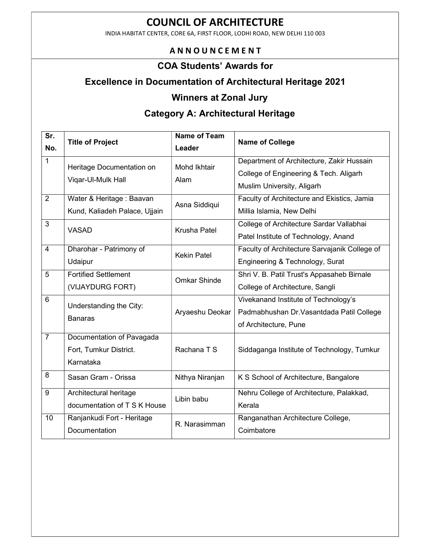INDIA HABITAT CENTER, CORE 6A, FIRST FLOOR, LODHI ROAD, NEW DELHI 110 003

### A N N O U N C E M E N T

#### COA Students' Awards for

## Excellence in Documentation of Architectural Heritage 2021

#### Winners at Zonal Jury

# Category A: Architectural Heritage

| $\overline{\mathsf{Sr.}}$<br>No. | <b>Title of Project</b>       | <b>Name of Team</b><br>Leader | <b>Name of College</b>                        |
|----------------------------------|-------------------------------|-------------------------------|-----------------------------------------------|
| $\mathbf{1}$                     |                               |                               |                                               |
|                                  | Heritage Documentation on     | <b>Mohd Ikhtair</b>           | Department of Architecture, Zakir Hussain     |
|                                  | Vigar-Ul-Mulk Hall            | Alam                          | College of Engineering & Tech. Aligarh        |
|                                  |                               |                               | Muslim University, Aligarh                    |
| $\overline{2}$                   | Water & Heritage: Baavan      | Asna Siddiqui                 | Faculty of Architecture and Ekistics, Jamia   |
|                                  | Kund, Kaliadeh Palace, Ujjain |                               | Millia Islamia, New Delhi                     |
| 3                                | <b>VASAD</b>                  | <b>Krusha Patel</b>           | College of Architecture Sardar Vallabhai      |
|                                  |                               |                               | Patel Institute of Technology, Anand          |
| $\overline{4}$                   | Dharohar - Patrimony of       | <b>Kekin Patel</b>            | Faculty of Architecture Sarvajanik College of |
|                                  | Udaipur                       |                               | Engineering & Technology, Surat               |
| $\overline{5}$                   | <b>Fortified Settlement</b>   | <b>Omkar Shinde</b>           | Shri V. B. Patil Trust's Appasaheb Birnale    |
|                                  | (VIJAYDURG FORT)              |                               | College of Architecture, Sangli               |
| 6                                | Understanding the City:       |                               | Vivekanand Institute of Technology's          |
|                                  |                               | Aryaeshu Deokar               | Padmabhushan Dr. Vasantdada Patil College     |
|                                  | <b>Banaras</b>                |                               | of Architecture, Pune                         |
| $\overline{7}$                   | Documentation of Pavagada     |                               |                                               |
|                                  | Fort, Tumkur District.        | Rachana T S                   | Siddaganga Institute of Technology, Tumkur    |
|                                  | Karnataka                     |                               |                                               |
| 8                                | Sasan Gram - Orissa           | Nithya Niranjan               | K S School of Architecture, Bangalore         |
| 9                                | Architectural heritage        |                               | Nehru College of Architecture, Palakkad,      |
|                                  | documentation of T S K House  | Libin babu                    | Kerala                                        |
|                                  |                               |                               |                                               |
| 10                               | Ranjankudi Fort - Heritage    | R. Narasimman                 | Ranganathan Architecture College,             |
|                                  | Documentation                 |                               | Coimbatore                                    |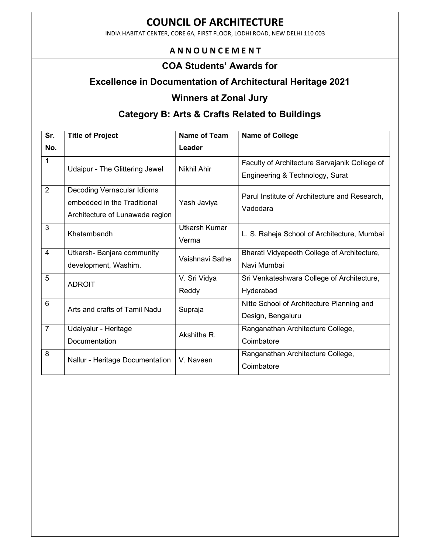INDIA HABITAT CENTER, CORE 6A, FIRST FLOOR, LODHI ROAD, NEW DELHI 110 003

#### A N N O U N C E M E N T

#### COA Students' Awards for

## Excellence in Documentation of Architectural Heritage 2021

# Winners at Zonal Jury

## Category B: Arts & Crafts Related to Buildings

| Sr.             | <b>Title of Project</b>                                                                      | <b>Name of Team</b>           | <b>Name of College</b>                                                           |
|-----------------|----------------------------------------------------------------------------------------------|-------------------------------|----------------------------------------------------------------------------------|
| No.             |                                                                                              | Leader                        |                                                                                  |
| 1               | Udaipur - The Glittering Jewel                                                               | Nikhil Ahir                   | Faculty of Architecture Sarvajanik College of<br>Engineering & Technology, Surat |
| 2               | Decoding Vernacular Idioms<br>embedded in the Traditional<br>Architecture of Lunawada region | Yash Javiya                   | Parul Institute of Architecture and Research,<br>Vadodara                        |
| 3               | Khatambandh                                                                                  | <b>Utkarsh Kumar</b><br>Verma | L. S. Raheja School of Architecture, Mumbai                                      |
| $\overline{4}$  | Utkarsh- Banjara community<br>development, Washim.                                           | Vaishnavi Sathe               | Bharati Vidyapeeth College of Architecture,<br>Navi Mumbai                       |
| 5               | <b>ADROIT</b>                                                                                | V. Sri Vidya<br>Reddy         | Sri Venkateshwara College of Architecture,<br>Hyderabad                          |
| $6\phantom{1}6$ | Arts and crafts of Tamil Nadu                                                                | Supraja                       | Nitte School of Architecture Planning and<br>Design, Bengaluru                   |
| $\overline{7}$  | Udaiyalur - Heritage<br><b>Documentation</b>                                                 | Akshitha R.                   | Ranganathan Architecture College,<br>Coimbatore                                  |
| 8               | Nallur - Heritage Documentation                                                              | V. Naveen                     | Ranganathan Architecture College,<br>Coimbatore                                  |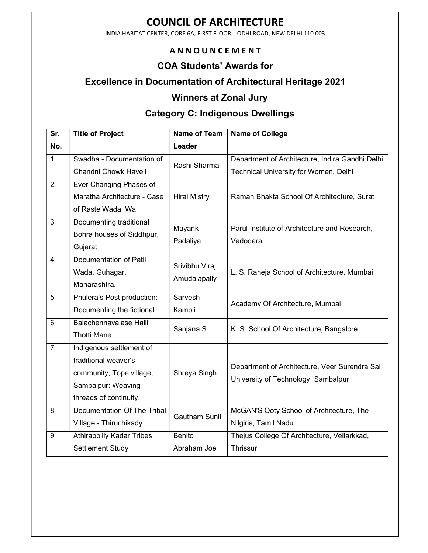INDIA HABITAT CENTER, CORE 6A, FIRST FLOOR, LODHI ROAD, NEW DELHI 110 003

### A N N O U N C E M E N T

#### COA Students' Awards for

## Excellence in Documentation of Architectural Heritage 2021

#### Winners at Zonal Jury

# Category C: Indigenous Dwellings

| Sr.            | <b>Title of Project</b>          | <b>Name of Team</b>  | <b>Name of College</b>                                    |
|----------------|----------------------------------|----------------------|-----------------------------------------------------------|
| No.            |                                  | Leader               |                                                           |
| $\mathbf{1}$   | Swadha - Documentation of        | Rashi Sharma         | Department of Architecture, Indira Gandhi Delhi           |
|                | Chandni Chowk Haveli             |                      | Technical University for Women, Delhi                     |
| $\overline{2}$ | Ever Changing Phases of          |                      |                                                           |
|                | Maratha Architecture - Case      | <b>Hiral Mistry</b>  | Raman Bhakta School Of Architecture, Surat                |
|                | of Raste Wada, Wai               |                      |                                                           |
| 3              | Documenting traditional          | Mayank<br>Padaliya   | Parul Institute of Architecture and Research,<br>Vadodara |
|                | Bohra houses of Siddhpur,        |                      |                                                           |
|                | Gujarat                          |                      |                                                           |
| $\overline{4}$ | <b>Documentation of Patil</b>    | Srivibhu Viraj       | L. S. Raheja School of Architecture, Mumbai               |
|                | Wada, Guhagar,                   |                      |                                                           |
|                | Maharashtra.                     | Amudalapally         |                                                           |
| 5              | Phulera's Post production:       | Sarvesh<br>Kambli    | Academy Of Architecture, Mumbai                           |
|                | Documenting the fictional        |                      |                                                           |
| 6              | <b>Balachennavalase Halli</b>    | Sanjana S            | K. S. School Of Architecture, Bangalore                   |
|                | <b>Thotti Mane</b>               |                      |                                                           |
| $\overline{7}$ | Indigenous settlement of         |                      |                                                           |
|                | traditional weaver's             | Shreya Singh         | Department of Architecture, Veer Surendra Sai             |
|                | community, Tope village,         |                      | University of Technology, Sambalpur                       |
|                | Sambalpur: Weaving               |                      |                                                           |
|                | threads of continuity.           |                      |                                                           |
| 8              | Documentation Of The Tribal      | <b>Gautham Sunil</b> | McGAN'S Ooty School of Architecture, The                  |
|                | Village - Thiruchikady           |                      | Nilgiris, Tamil Nadu                                      |
| $9\,$          | <b>Athirappilly Kadar Tribes</b> | <b>Benito</b>        | Thejus College Of Architecture, Vellarkkad,               |
|                | Settlement Study                 | Abraham Joe          | Thrissur                                                  |